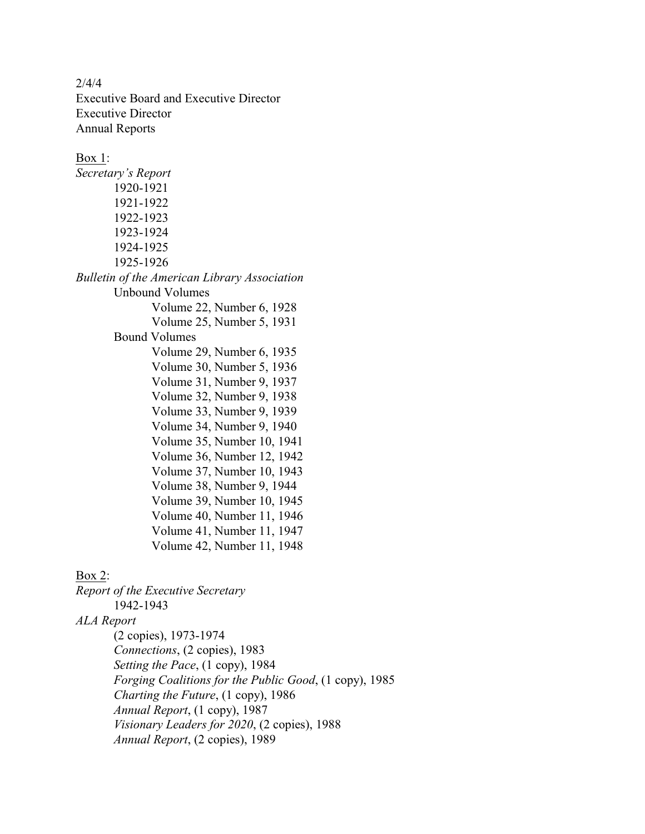2/4/4 Executive Board and Executive Director Executive Director Annual Reports

Box 1: *Secretary's Report* 1920-1921 1921-1922 1922-1923 1923-1924 1924-1925 1925-1926 *Bulletin of the American Library Association* Unbound Volumes Volume 22, Number 6, 1928 Volume 25, Number 5, 1931 Bound Volumes Volume 29, Number 6, 1935 Volume 30, Number 5, 1936 Volume 31, Number 9, 1937 Volume 32, Number 9, 1938 Volume 33, Number 9, 1939 Volume 34, Number 9, 1940 Volume 35, Number 10, 1941 Volume 36, Number 12, 1942 Volume 37, Number 10, 1943 Volume 38, Number 9, 1944 Volume 39, Number 10, 1945 Volume 40, Number 11, 1946 Volume 41, Number 11, 1947 Volume 42, Number 11, 1948

## Box 2:

*Report of the Executive Secretary* 1942-1943 *ALA Report* (2 copies), 1973-1974 *Connections*, (2 copies), 1983 *Setting the Pace*, (1 copy), 1984 *Forging Coalitions for the Public Good*, (1 copy), 1985 *Charting the Future*, (1 copy), 1986 *Annual Report*, (1 copy), 1987 *Visionary Leaders for 2020*, (2 copies), 1988 *Annual Report*, (2 copies), 1989